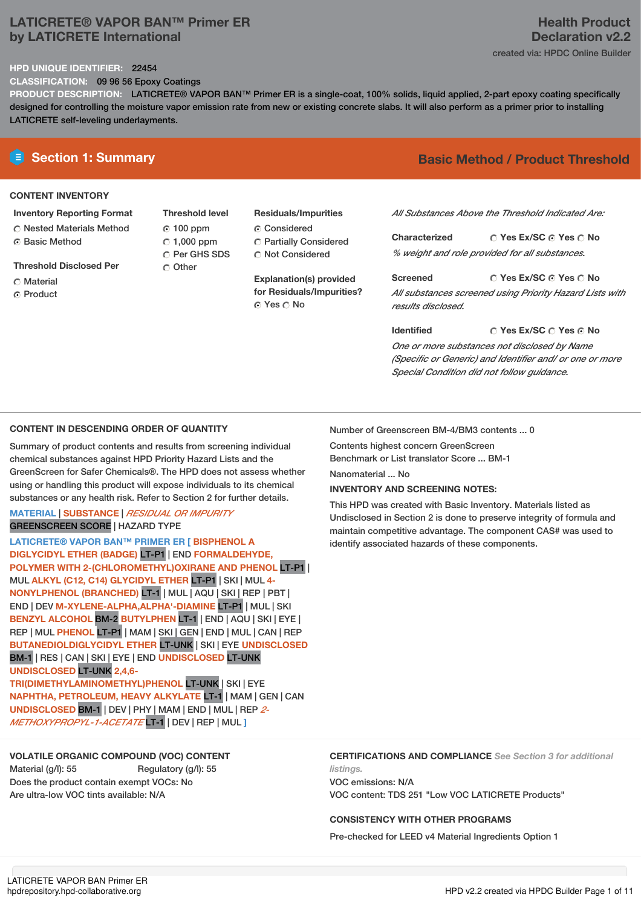## **LATICRETE® VAPOR BAN™ Primer ER by LATICRETE International**

## **Health Product Declaration v2.2** created via: HPDC Online Builder

#### **HPD UNIQUE IDENTIFIER:** 22454

**CLASSIFICATION:** 09 96 56 Epoxy Coatings

**PRODUCT DESCRIPTION:** LATICRETE® VAPOR BAN™ Primer ER is a single-coat, 100% solids, liquid applied, 2-part epoxy coating specifically designed for controlling the moisture vapor emission rate from new or existing concrete slabs. It will also perform as a primer prior to installing LATICRETE self-leveling underlayments.

## **CONTENT INVENTORY**

## **Inventory Reporting Format**

**C** Nested Materials Method ⊙ Basic Method

**Threshold Disclosed Per**

- C Material
- **G** Product

**Threshold level** 100 ppm  $\degree$  1,000 ppm C Per GHS SDS C Other

# **Residuals/Impurities**

Considered Partially Considered C Not Considered

**Explanation(s) provided for Residuals/Impurities?** © Yes ○ No

# **E** Section 1: Summary **Basic Method / Product Threshold**

*All Substances Above the Threshold Indicated Are:*

**Yes Ex/SC Yes No Characterized** *% weight and role provided for all substances.*

**Yes Ex/SC Yes No Screened** *All substances screened using Priority Hazard Lists with results disclosed.*

**Yes Ex/SC Yes No Identified** *One or more substances not disclosed by Name (Specific or Generic) and Identifier and/ or one or more Special Condition did not follow guidance.*

# **CONTENT IN DESCENDING ORDER OF QUANTITY**

Summary of product contents and results from screening individual chemical substances against HPD Priority Hazard Lists and the GreenScreen for Safer Chemicals®. The HPD does not assess whether using or handling this product will expose individuals to its chemical substances or any health risk. Refer to Section 2 for further details.

### **MATERIAL** | **SUBSTANCE** | *RESIDUAL OR IMPURITY* GREENSCREEN SCORE | HAZARD TYPE

**LATICRETE® VAPOR BAN™ PRIMER ER [ BISPHENOL A DIGLYCIDYL ETHER (BADGE)** LT-P1 | END **FORMALDEHYDE, POLYMER WITH 2-(CHLOROMETHYL)OXIRANE AND PHENOL** LT-P1 | MUL **ALKYL (C12, C14) GLYCIDYL ETHER** LT-P1 | SKI | MUL **4- NONYLPHENOL (BRANCHED)** LT-1 | MUL | AQU | SKI | REP | PBT | END | DEV **M-XYLENE-ALPHA,ALPHA'-DIAMINE** LT-P1 | MUL | SKI **BENZYL ALCOHOL** BM-2 **BUTYLPHEN** LT-1 | END | AQU | SKI | EYE | REP | MUL **PHENOL** LT-P1 | MAM | SKI | GEN | END | MUL | CAN | REP **BUTANEDIOLDIGLYCIDYL ETHER** LT-UNK | SKI | EYE **UNDISCLOSED** BM-1 | RES | CAN | SKI | EYE | END **UNDISCLOSED** LT-UNK **UNDISCLOSED** LT-UNK **2,4,6- TRI(DIMETHYLAMINOMETHYL)PHENOL** LT-UNK | SKI | EYE **NAPHTHA, PETROLEUM, HEAVY ALKYLATE** LT-1 | MAM | GEN | CAN **UNDISCLOSED** BM-1 | DEV | PHY | MAM | END | MUL | REP *2-*

*METHOXYPROPYL-1-ACETATE* LT-1 | DEV | REP | MUL **]**

# **VOLATILE ORGANIC COMPOUND (VOC) CONTENT**

Material (g/l): 55 Regulatory (g/l): 55 Does the product contain exempt VOCs: No Are ultra-low VOC tints available: N/A

Number of Greenscreen BM-4/BM3 contents ... 0

Contents highest concern GreenScreen Benchmark or List translator Score ... BM-1

Nanomaterial ... No

# **INVENTORY AND SCREENING NOTES:**

This HPD was created with Basic Inventory. Materials listed as Undisclosed in Section 2 is done to preserve integrity of formula and maintain competitive advantage. The component CAS# was used to identify associated hazards of these components.

**CERTIFICATIONS AND COMPLIANCE** *See Section 3 for additional listings.* VOC emissions: N/A

VOC content: TDS 251 "Low VOC LATICRETE Products"

# **CONSISTENCY WITH OTHER PROGRAMS**

Pre-checked for LEED v4 Material Ingredients Option 1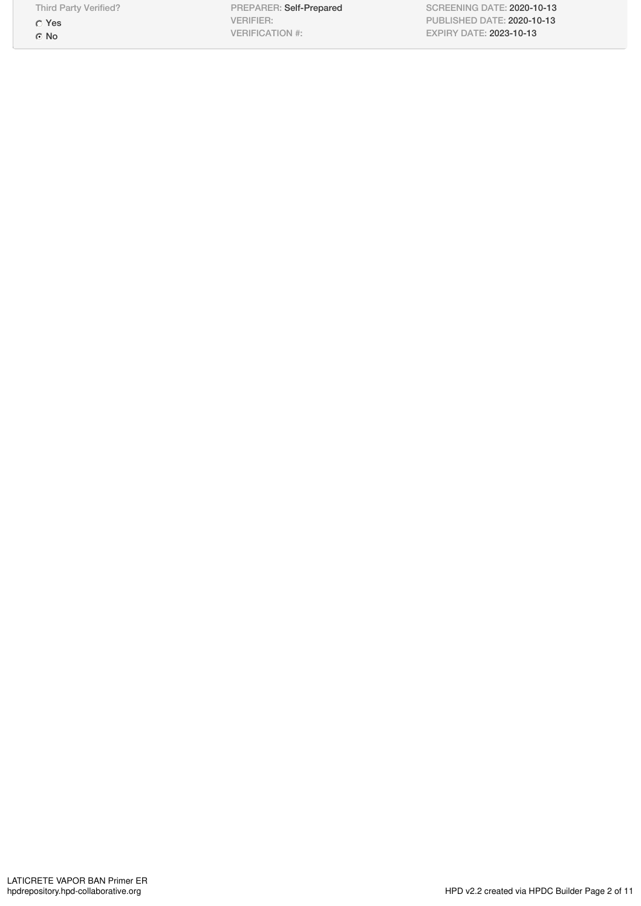Third Party Verified?

Yes No

PREPARER: Self-Prepared VERIFIER: VERIFICATION #:

SCREENING DATE: 2020-10-13 PUBLISHED DATE: 2020-10-13 EXPIRY DATE: 2023-10-13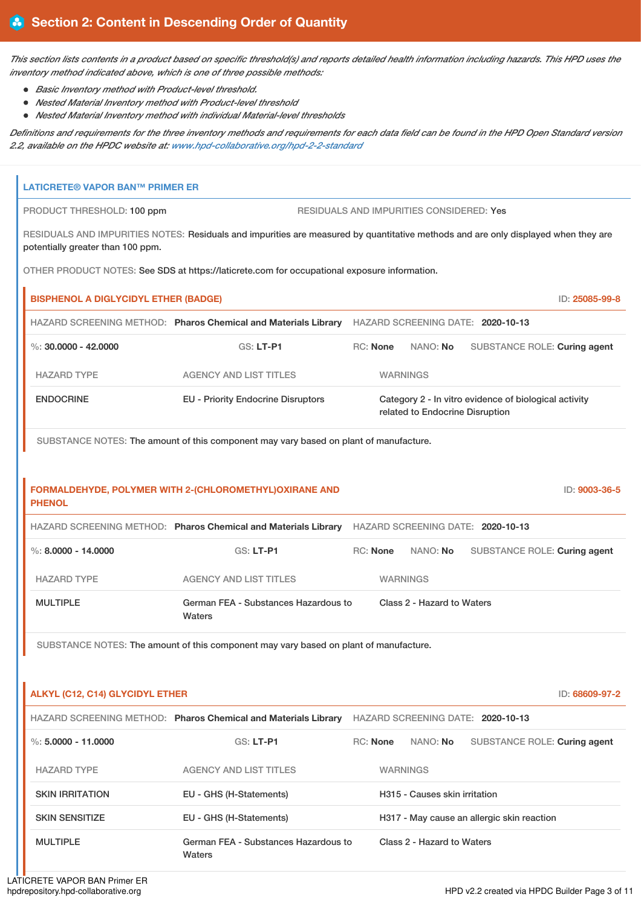This section lists contents in a product based on specific threshold(s) and reports detailed health information including hazards. This HPD uses the *inventory method indicated above, which is one of three possible methods:*

- *Basic Inventory method with Product-level threshold.*
- *Nested Material Inventory method with Product-level threshold*
- *Nested Material Inventory method with individual Material-level thresholds*

Definitions and requirements for the three inventory methods and requirements for each data field can be found in the HPD Open Standard version *2.2, available on the HPDC website at: [www.hpd-collaborative.org/hpd-2-2-standard](https://www.hpd-collaborative.org/hpd-2-2-standard)*

| <b>LATICRETE® VAPOR BAN™ PRIMER ER</b>                                                                                                                                  |                                                                                              |                                                                                                  |  |  |  |  |  |
|-------------------------------------------------------------------------------------------------------------------------------------------------------------------------|----------------------------------------------------------------------------------------------|--------------------------------------------------------------------------------------------------|--|--|--|--|--|
| RESIDUALS AND IMPURITIES CONSIDERED: Yes<br>PRODUCT THRESHOLD: 100 ppm                                                                                                  |                                                                                              |                                                                                                  |  |  |  |  |  |
| RESIDUALS AND IMPURITIES NOTES: Residuals and impurities are measured by quantitative methods and are only displayed when they are<br>potentially greater than 100 ppm. |                                                                                              |                                                                                                  |  |  |  |  |  |
|                                                                                                                                                                         | OTHER PRODUCT NOTES: See SDS at https://laticrete.com for occupational exposure information. |                                                                                                  |  |  |  |  |  |
| <b>BISPHENOL A DIGLYCIDYL ETHER (BADGE)</b>                                                                                                                             |                                                                                              | ID: 25085-99-8                                                                                   |  |  |  |  |  |
|                                                                                                                                                                         |                                                                                              | HAZARD SCREENING METHOD: Pharos Chemical and Materials Library HAZARD SCREENING DATE: 2020-10-13 |  |  |  |  |  |
| %: $30,0000 - 42,0000$                                                                                                                                                  | GS: LT-P1                                                                                    | RC: None<br>NANO: No<br>SUBSTANCE ROLE: Curing agent                                             |  |  |  |  |  |
| <b>HAZARD TYPE</b>                                                                                                                                                      | <b>AGENCY AND LIST TITLES</b>                                                                | <b>WARNINGS</b>                                                                                  |  |  |  |  |  |
| <b>ENDOCRINE</b>                                                                                                                                                        | <b>EU - Priority Endocrine Disruptors</b>                                                    | Category 2 - In vitro evidence of biological activity<br>related to Endocrine Disruption         |  |  |  |  |  |
|                                                                                                                                                                         | SUBSTANCE NOTES: The amount of this component may vary based on plant of manufacture.        |                                                                                                  |  |  |  |  |  |
|                                                                                                                                                                         |                                                                                              |                                                                                                  |  |  |  |  |  |
| FORMALDEHYDE, POLYMER WITH 2-(CHLOROMETHYL)OXIRANE AND<br>ID: 9003-36-5<br><b>PHENOL</b>                                                                                |                                                                                              |                                                                                                  |  |  |  |  |  |
|                                                                                                                                                                         |                                                                                              | HAZARD SCREENING METHOD: Pharos Chemical and Materials Library HAZARD SCREENING DATE: 2020-10-13 |  |  |  |  |  |
| $\%$ : 8.0000 - 14.0000                                                                                                                                                 | GS: LT-P1                                                                                    | <b>RC: None</b><br>NANO: No<br>SUBSTANCE ROLE: Curing agent                                      |  |  |  |  |  |
| <b>HAZARD TYPE</b>                                                                                                                                                      | <b>AGENCY AND LIST TITLES</b>                                                                | <b>WARNINGS</b>                                                                                  |  |  |  |  |  |
| <b>MULTIPLE</b>                                                                                                                                                         | German FEA - Substances Hazardous to<br>Waters                                               | Class 2 - Hazard to Waters                                                                       |  |  |  |  |  |
|                                                                                                                                                                         | SUBSTANCE NOTES: The amount of this component may vary based on plant of manufacture.        |                                                                                                  |  |  |  |  |  |
|                                                                                                                                                                         |                                                                                              |                                                                                                  |  |  |  |  |  |
| <b>ALKYL (C12, C14) GLYCIDYL ETHER</b>                                                                                                                                  |                                                                                              | ID: 68609-97-2                                                                                   |  |  |  |  |  |
|                                                                                                                                                                         |                                                                                              | HAZARD SCREENING METHOD: Pharos Chemical and Materials Library HAZARD SCREENING DATE: 2020-10-13 |  |  |  |  |  |
| $\%: 5.0000 - 11.0000$                                                                                                                                                  | GS: LT-P1                                                                                    | <b>RC: None</b><br>NANO: No<br>SUBSTANCE ROLE: Curing agent                                      |  |  |  |  |  |
| <b>HAZARD TYPE</b>                                                                                                                                                      | <b>AGENCY AND LIST TITLES</b>                                                                | <b>WARNINGS</b>                                                                                  |  |  |  |  |  |
| <b>SKIN IRRITATION</b>                                                                                                                                                  | EU - GHS (H-Statements)                                                                      | H315 - Causes skin irritation                                                                    |  |  |  |  |  |
| <b>SKIN SENSITIZE</b>                                                                                                                                                   | EU - GHS (H-Statements)                                                                      | H317 - May cause an allergic skin reaction                                                       |  |  |  |  |  |
| <b>MULTIPLE</b>                                                                                                                                                         | German FEA - Substances Hazardous to<br>Waters                                               | Class 2 - Hazard to Waters                                                                       |  |  |  |  |  |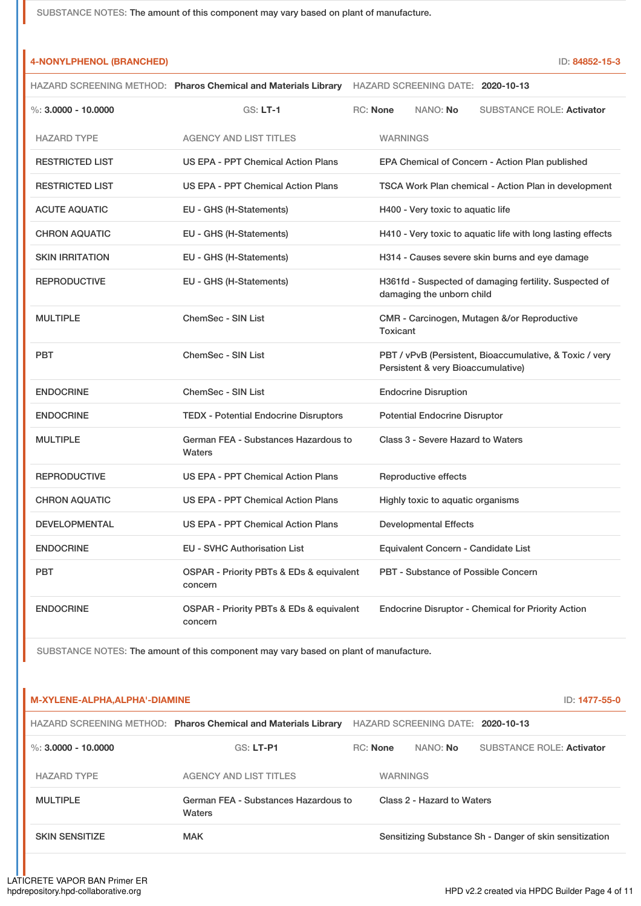|                        | HAZARD SCREENING METHOD: Pharos Chemical and Materials Library HAZARD SCREENING DATE: 2020-10-13 |                                      |                                                             |
|------------------------|--------------------------------------------------------------------------------------------------|--------------------------------------|-------------------------------------------------------------|
| %: $3.0000 - 10.0000$  | $GS: LT-1$                                                                                       | RC: None<br>NANO: No                 | <b>SUBSTANCE ROLE: Activator</b>                            |
| <b>HAZARD TYPE</b>     | <b>AGENCY AND LIST TITLES</b>                                                                    | <b>WARNINGS</b>                      |                                                             |
| <b>RESTRICTED LIST</b> | US EPA - PPT Chemical Action Plans                                                               |                                      | EPA Chemical of Concern - Action Plan published             |
| <b>RESTRICTED LIST</b> | US EPA - PPT Chemical Action Plans                                                               |                                      | TSCA Work Plan chemical - Action Plan in development        |
| <b>ACUTE AQUATIC</b>   | EU - GHS (H-Statements)                                                                          | H400 - Very toxic to aquatic life    |                                                             |
| <b>CHRON AQUATIC</b>   | EU - GHS (H-Statements)                                                                          |                                      | H410 - Very toxic to aquatic life with long lasting effects |
| <b>SKIN IRRITATION</b> | EU - GHS (H-Statements)                                                                          |                                      | H314 - Causes severe skin burns and eye damage              |
| <b>REPRODUCTIVE</b>    | EU - GHS (H-Statements)                                                                          | damaging the unborn child            | H361fd - Suspected of damaging fertility. Suspected of      |
| <b>MULTIPLE</b>        | ChemSec - SIN List                                                                               | Toxicant                             | CMR - Carcinogen, Mutagen &/or Reproductive                 |
| <b>PBT</b>             | ChemSec - SIN List                                                                               | Persistent & very Bioaccumulative)   | PBT / vPvB (Persistent, Bioaccumulative, & Toxic / very     |
| <b>ENDOCRINE</b>       | ChemSec - SIN List                                                                               | <b>Endocrine Disruption</b>          |                                                             |
| <b>ENDOCRINE</b>       | <b>TEDX - Potential Endocrine Disruptors</b>                                                     | <b>Potential Endocrine Disruptor</b> |                                                             |
| <b>MULTIPLE</b>        | German FEA - Substances Hazardous to<br>Waters                                                   | Class 3 - Severe Hazard to Waters    |                                                             |
| <b>REPRODUCTIVE</b>    | US EPA - PPT Chemical Action Plans                                                               | Reproductive effects                 |                                                             |
| <b>CHRON AQUATIC</b>   | US EPA - PPT Chemical Action Plans                                                               | Highly toxic to aquatic organisms    |                                                             |
| <b>DEVELOPMENTAL</b>   | <b>US EPA - PPT Chemical Action Plans</b>                                                        | <b>Developmental Effects</b>         |                                                             |
| <b>ENDOCRINE</b>       | EU - SVHC Authorisation List                                                                     | Equivalent Concern - Candidate List  |                                                             |
| <b>PBT</b>             | OSPAR - Priority PBTs & EDs & equivalent<br>concern                                              |                                      | <b>PBT - Substance of Possible Concern</b>                  |
| <b>ENDOCRINE</b>       | OSPAR - Priority PBTs & EDs & equivalent<br>concern                                              |                                      | <b>Endocrine Disruptor - Chemical for Priority Action</b>   |

SUBSTANCE NOTES: The amount of this component may vary based on plant of manufacture.

| M-XYLENE-ALPHA, ALPHA'-DIAMINE |                                                                |          |                                   | ID: 1477-55-0                                           |
|--------------------------------|----------------------------------------------------------------|----------|-----------------------------------|---------------------------------------------------------|
|                                | HAZARD SCREENING METHOD: Pharos Chemical and Materials Library |          | HAZARD SCREENING DATE: 2020-10-13 |                                                         |
| %: $3.0000 - 10.0000$          | $GS: LT-PI$                                                    | RC: None | NANO: <b>No</b>                   | <b>SUBSTANCE ROLE: Activator</b>                        |
| <b>HAZARD TYPE</b>             | <b>AGENCY AND LIST TITLES</b>                                  |          | <b>WARNINGS</b>                   |                                                         |
| <b>MULTIPLE</b>                | German FEA - Substances Hazardous to<br>Waters                 |          | Class 2 - Hazard to Waters        |                                                         |
| <b>SKIN SENSITIZE</b>          | <b>MAK</b>                                                     |          |                                   | Sensitizing Substance Sh - Danger of skin sensitization |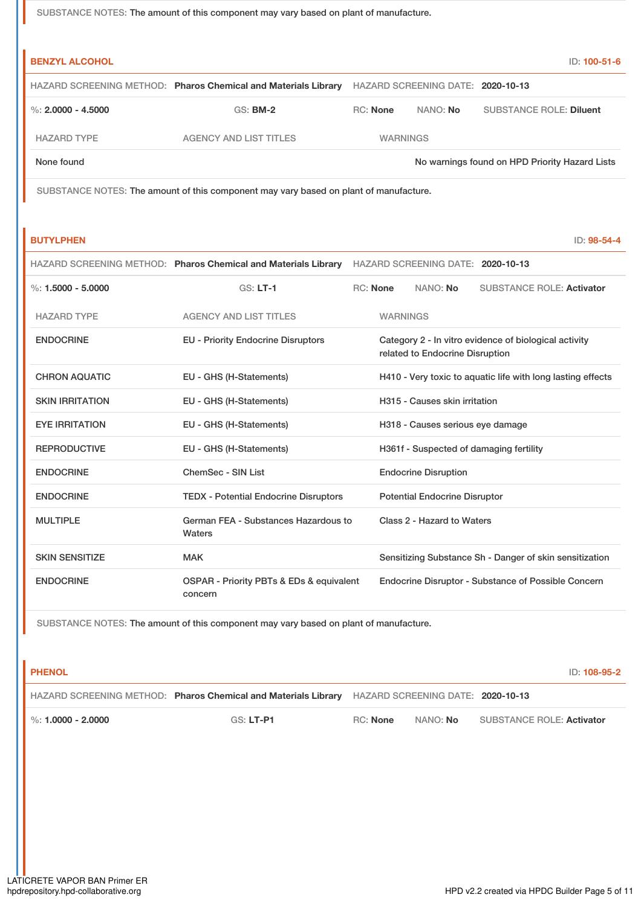| <b>BENZYL ALCOHOL</b> |                                                                |                 |                                   | ID: 100-51-6                                   |
|-----------------------|----------------------------------------------------------------|-----------------|-----------------------------------|------------------------------------------------|
|                       | HAZARD SCREENING METHOD: Pharos Chemical and Materials Library |                 | HAZARD SCREENING DATE: 2020-10-13 |                                                |
| %: $2.0000 - 4.5000$  | $GS:$ BM-2                                                     | RC: None        | NANO: No                          | <b>SUBSTANCE ROLE: Diluent</b>                 |
| <b>HAZARD TYPE</b>    | AGENCY AND LIST TITLES                                         | <b>WARNINGS</b> |                                   |                                                |
| None found            |                                                                |                 |                                   | No warnings found on HPD Priority Hazard Lists |

SUBSTANCE NOTES: The amount of this component may vary based on plant of manufacture.

| <b>BUTYLPHEN</b>       |                                                                    |                 |                 |                                      |                                                             | ID: 98-54-4 |
|------------------------|--------------------------------------------------------------------|-----------------|-----------------|--------------------------------------|-------------------------------------------------------------|-------------|
|                        | HAZARD SCREENING METHOD: Pharos Chemical and Materials Library     |                 |                 | HAZARD SCREENING DATE: 2020-10-13    |                                                             |             |
| $\%: 1.5000 - 5.0000$  | $GS: LT-1$                                                         | <b>RC:</b> None |                 | NANO: No                             | <b>SUBSTANCE ROLE: Activator</b>                            |             |
| <b>HAZARD TYPE</b>     | <b>AGENCY AND LIST TITLES</b>                                      |                 | <b>WARNINGS</b> |                                      |                                                             |             |
| <b>ENDOCRINE</b>       | <b>EU - Priority Endocrine Disruptors</b>                          |                 |                 | related to Endocrine Disruption      | Category 2 - In vitro evidence of biological activity       |             |
| <b>CHRON AQUATIC</b>   | EU - GHS (H-Statements)                                            |                 |                 |                                      | H410 - Very toxic to aquatic life with long lasting effects |             |
| <b>SKIN IRRITATION</b> | EU - GHS (H-Statements)                                            |                 |                 | H315 - Causes skin irritation        |                                                             |             |
| <b>EYE IRRITATION</b>  | EU - GHS (H-Statements)                                            |                 |                 | H318 - Causes serious eye damage     |                                                             |             |
| <b>REPRODUCTIVE</b>    | EU - GHS (H-Statements)                                            |                 |                 |                                      | H361f - Suspected of damaging fertility                     |             |
| <b>ENDOCRINE</b>       | ChemSec - SIN List                                                 |                 |                 | <b>Endocrine Disruption</b>          |                                                             |             |
| <b>ENDOCRINE</b>       | <b>TEDX - Potential Endocrine Disruptors</b>                       |                 |                 | <b>Potential Endocrine Disruptor</b> |                                                             |             |
| <b>MULTIPLE</b>        | German FEA - Substances Hazardous to<br>Waters                     |                 |                 | Class 2 - Hazard to Waters           |                                                             |             |
| <b>SKIN SENSITIZE</b>  | <b>MAK</b>                                                         |                 |                 |                                      | Sensitizing Substance Sh - Danger of skin sensitization     |             |
| <b>ENDOCRINE</b>       | <b>OSPAR - Priority PBTs &amp; EDs &amp; equivalent</b><br>concern |                 |                 |                                      | <b>Endocrine Disruptor - Substance of Possible Concern</b>  |             |

SUBSTANCE NOTES: The amount of this component may vary based on plant of manufacture.

| <b>PHENOL</b>          |                                                                                                  |          |                 | ID: 108-95-2              |
|------------------------|--------------------------------------------------------------------------------------------------|----------|-----------------|---------------------------|
|                        | HAZARD SCREENING METHOD: Pharos Chemical and Materials Library HAZARD SCREENING DATE: 2020-10-13 |          |                 |                           |
| $\%$ : 1.0000 - 2.0000 | GS: LT-P1                                                                                        | RC: None | NANO: <b>No</b> | SUBSTANCE ROLE: Activator |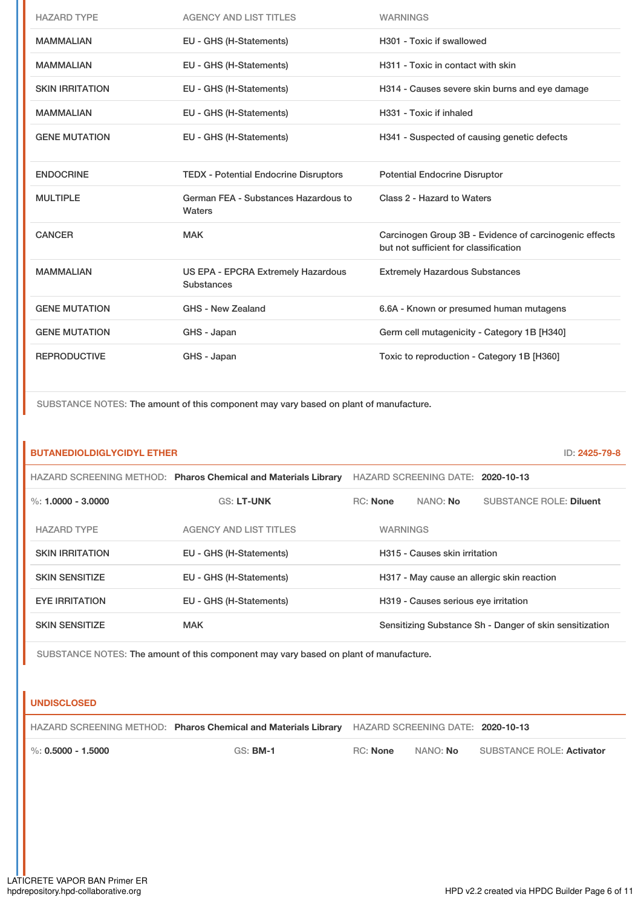| <b>HAZARD TYPE</b>     | <b>AGENCY AND LIST TITLES</b>                                  | <b>WARNINGS</b>                                                                                 |
|------------------------|----------------------------------------------------------------|-------------------------------------------------------------------------------------------------|
| <b>MAMMALIAN</b>       | EU - GHS (H-Statements)                                        | H301 - Toxic if swallowed                                                                       |
| <b>MAMMALIAN</b>       | EU - GHS (H-Statements)                                        | H311 - Toxic in contact with skin                                                               |
| <b>SKIN IRRITATION</b> | EU - GHS (H-Statements)                                        | H314 - Causes severe skin burns and eye damage                                                  |
| <b>MAMMALIAN</b>       | EU - GHS (H-Statements)                                        | H331 - Toxic if inhaled                                                                         |
| <b>GENE MUTATION</b>   | EU - GHS (H-Statements)                                        | H341 - Suspected of causing genetic defects                                                     |
| <b>ENDOCRINE</b>       | <b>TEDX - Potential Endocrine Disruptors</b>                   | <b>Potential Endocrine Disruptor</b>                                                            |
| <b>MULTIPLE</b>        | German FEA - Substances Hazardous to<br>Waters                 | Class 2 - Hazard to Waters                                                                      |
| <b>CANCER</b>          |                                                                |                                                                                                 |
|                        | <b>MAK</b>                                                     | Carcinogen Group 3B - Evidence of carcinogenic effects<br>but not sufficient for classification |
| <b>MAMMALIAN</b>       | <b>US EPA - EPCRA Extremely Hazardous</b><br><b>Substances</b> | <b>Extremely Hazardous Substances</b>                                                           |
| <b>GENE MUTATION</b>   | GHS - New Zealand                                              | 6.6A - Known or presumed human mutagens                                                         |
| <b>GENE MUTATION</b>   | GHS - Japan                                                    | Germ cell mutagenicity - Category 1B [H340]                                                     |

| <b>BUTANEDIOLDIGLYCIDYL ETHER</b><br>ID: 2425-79-8 |                                                                |                 |                                      |                                                         |  |
|----------------------------------------------------|----------------------------------------------------------------|-----------------|--------------------------------------|---------------------------------------------------------|--|
|                                                    | HAZARD SCREENING METHOD: Pharos Chemical and Materials Library |                 | HAZARD SCREENING DATE: 2020-10-13    |                                                         |  |
| %: $1.0000 - 3.0000$                               | <b>GS: LT-UNK</b>                                              | <b>RC:</b> None | NANO: <b>No</b>                      | <b>SUBSTANCE ROLE: Diluent</b>                          |  |
| <b>HAZARD TYPE</b>                                 | <b>AGENCY AND LIST TITLES</b>                                  |                 | <b>WARNINGS</b>                      |                                                         |  |
| <b>SKIN IRRITATION</b>                             | EU - GHS (H-Statements)                                        |                 | H315 - Causes skin irritation        |                                                         |  |
| <b>SKIN SENSITIZE</b>                              | EU - GHS (H-Statements)                                        |                 |                                      | H317 - May cause an allergic skin reaction              |  |
| <b>EYE IRRITATION</b>                              | EU - GHS (H-Statements)                                        |                 | H319 - Causes serious eye irritation |                                                         |  |
| <b>SKIN SENSITIZE</b>                              | <b>MAK</b>                                                     |                 |                                      | Sensitizing Substance Sh - Danger of skin sensitization |  |

SUBSTANCE NOTES: The amount of this component may vary based on plant of manufacture.

## **UNDISCLOSED**

|                         | HAZARD SCREENING METHOD: Pharos Chemical and Materials Library HAZARD SCREENING DATE: 2020-10-13 |          |                 |                           |
|-------------------------|--------------------------------------------------------------------------------------------------|----------|-----------------|---------------------------|
| $\,$ %: 0.5000 - 1.5000 | GS: <b>BM-1</b>                                                                                  | RC: None | NANO: <b>No</b> | SUBSTANCE ROLE: Activator |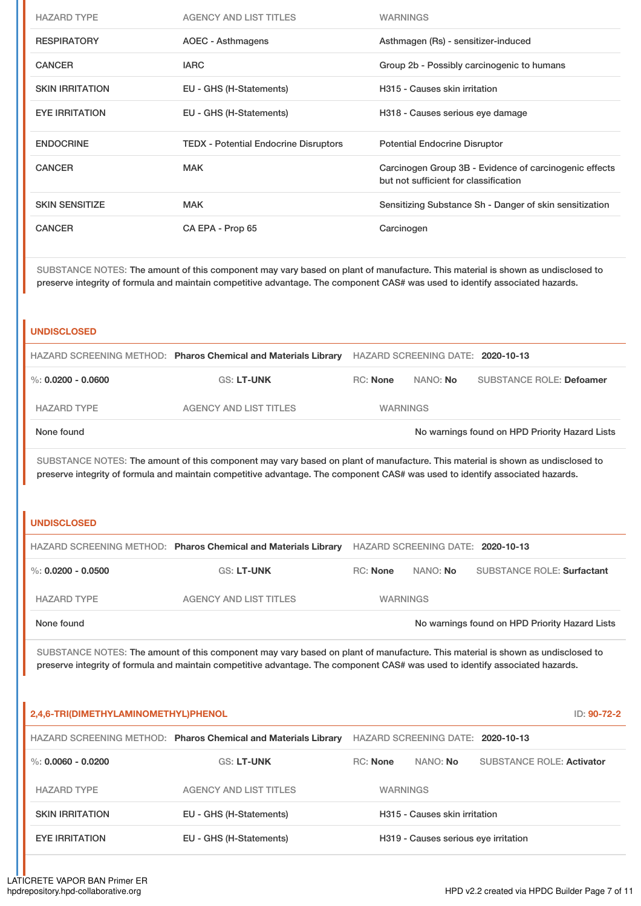| <b>HAZARD TYPE</b>     | <b>AGENCY AND LIST TITLES</b>                | <b>WARNINGS</b>                                                                                 |
|------------------------|----------------------------------------------|-------------------------------------------------------------------------------------------------|
| <b>RESPIRATORY</b>     | AOEC - Asthmagens                            | Asthmagen (Rs) - sensitizer-induced                                                             |
| <b>CANCER</b>          | <b>IARC</b>                                  | Group 2b - Possibly carcinogenic to humans                                                      |
| <b>SKIN IRRITATION</b> | EU - GHS (H-Statements)                      | H315 - Causes skin irritation                                                                   |
| <b>EYE IRRITATION</b>  | EU - GHS (H-Statements)                      | H318 - Causes serious eye damage                                                                |
| <b>ENDOCRINE</b>       | <b>TEDX - Potential Endocrine Disruptors</b> | <b>Potential Endocrine Disruptor</b>                                                            |
| <b>CANCER</b>          | <b>MAK</b>                                   | Carcinogen Group 3B - Evidence of carcinogenic effects<br>but not sufficient for classification |
| <b>SKIN SENSITIZE</b>  | <b>MAK</b>                                   | Sensitizing Substance Sh - Danger of skin sensitization                                         |
| <b>CANCER</b>          | CA EPA - Prop 65                             | Carcinogen                                                                                      |

SUBSTANCE NOTES: The amount of this component may vary based on plant of manufacture. This material is shown as undisclosed to preserve integrity of formula and maintain competitive advantage. The component CAS# was used to identify associated hazards.

#### **UNDISCLOSED**

|                      | HAZARD SCREENING METHOD: Pharos Chemical and Materials Library | HAZARD SCREENING DATE: 2020-10-13 |                 |                                                |
|----------------------|----------------------------------------------------------------|-----------------------------------|-----------------|------------------------------------------------|
| %: $0.0200 - 0.0600$ | <b>GS: LT-UNK</b>                                              | <b>RC:</b> None                   | NANO: <b>No</b> | SUBSTANCE ROLE: Defoamer                       |
| <b>HAZARD TYPE</b>   | AGENCY AND LIST TITLES                                         | <b>WARNINGS</b>                   |                 |                                                |
| None found           |                                                                |                                   |                 | No warnings found on HPD Priority Hazard Lists |

SUBSTANCE NOTES: The amount of this component may vary based on plant of manufacture. This material is shown as undisclosed to preserve integrity of formula and maintain competitive advantage. The component CAS# was used to identify associated hazards.

#### **UNDISCLOSED**

|                    | HAZARD SCREENING METHOD: Pharos Chemical and Materials Library HAZARD SCREENING DATE: 2020-10-13 |                 |          |                                                |
|--------------------|--------------------------------------------------------------------------------------------------|-----------------|----------|------------------------------------------------|
| %: 0.0200 - 0.0500 | <b>GS: LT-UNK</b>                                                                                | RC: None        | NANO: No | <b>SUBSTANCE ROLE: Surfactant</b>              |
| <b>HAZARD TYPE</b> | AGENCY AND LIST TITLES                                                                           | <b>WARNINGS</b> |          |                                                |
| None found         |                                                                                                  |                 |          | No warnings found on HPD Priority Hazard Lists |

SUBSTANCE NOTES: The amount of this component may vary based on plant of manufacture. This material is shown as undisclosed to preserve integrity of formula and maintain competitive advantage. The component CAS# was used to identify associated hazards.

| 2,4,6-TRI(DIMETHYLAMINOMETHYL)PHENOL<br>ID: 90-72-2 |                                                                |                                      |                                   |                                  |  |
|-----------------------------------------------------|----------------------------------------------------------------|--------------------------------------|-----------------------------------|----------------------------------|--|
|                                                     | HAZARD SCREENING METHOD: Pharos Chemical and Materials Library |                                      | HAZARD SCREENING DATE: 2020-10-13 |                                  |  |
| $\%$ : 0.0060 - 0.0200                              | <b>GS: LT-UNK</b>                                              | RC: None                             | NANO: No                          | <b>SUBSTANCE ROLE: Activator</b> |  |
| <b>HAZARD TYPE</b>                                  | <b>AGENCY AND LIST TITLES</b>                                  | <b>WARNINGS</b>                      |                                   |                                  |  |
| <b>SKIN IRRITATION</b>                              | EU - GHS (H-Statements)                                        | H315 - Causes skin irritation        |                                   |                                  |  |
| <b>EYE IRRITATION</b>                               | EU - GHS (H-Statements)                                        | H319 - Causes serious eye irritation |                                   |                                  |  |
|                                                     |                                                                |                                      |                                   |                                  |  |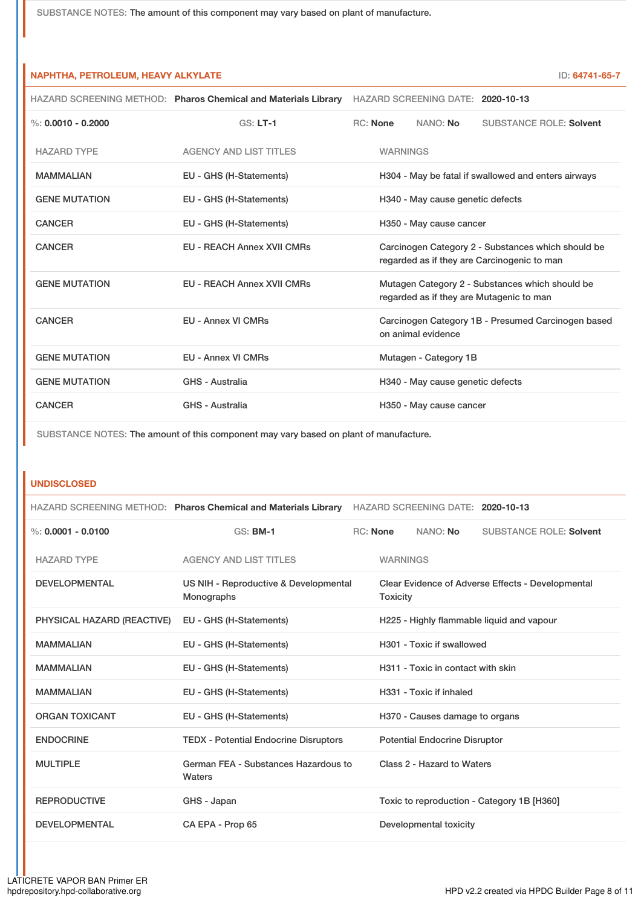| NAPHTHA, PETROLEUM, HEAVY ALKYLATE<br>ID: 64741-65-7 |                                                                                                                                  |                                                                                                   |                                                                          |                                   |                                |
|------------------------------------------------------|----------------------------------------------------------------------------------------------------------------------------------|---------------------------------------------------------------------------------------------------|--------------------------------------------------------------------------|-----------------------------------|--------------------------------|
|                                                      | HAZARD SCREENING METHOD: Pharos Chemical and Materials Library                                                                   |                                                                                                   |                                                                          | HAZARD SCREENING DATE: 2020-10-13 |                                |
| %: $0.0010 - 0.2000$                                 | $GS: LT-1$                                                                                                                       | RC: None                                                                                          |                                                                          | NANO: No                          | <b>SUBSTANCE ROLE: Solvent</b> |
| <b>HAZARD TYPE</b>                                   | <b>AGENCY AND LIST TITLES</b>                                                                                                    |                                                                                                   | <b>WARNINGS</b>                                                          |                                   |                                |
| <b>MAMMALIAN</b>                                     | EU - GHS (H-Statements)                                                                                                          | H304 - May be fatal if swallowed and enters airways                                               |                                                                          |                                   |                                |
| <b>GENE MUTATION</b>                                 | EU - GHS (H-Statements)                                                                                                          | H340 - May cause genetic defects                                                                  |                                                                          |                                   |                                |
| <b>CANCER</b>                                        | EU - GHS (H-Statements)                                                                                                          | H350 - May cause cancer                                                                           |                                                                          |                                   |                                |
| <b>CANCER</b>                                        | <b>EU - REACH Annex XVII CMRs</b>                                                                                                | Carcinogen Category 2 - Substances which should be<br>regarded as if they are Carcinogenic to man |                                                                          |                                   |                                |
| <b>GENE MUTATION</b>                                 | <b>EU - REACH Annex XVII CMRs</b><br>Mutagen Category 2 - Substances which should be<br>regarded as if they are Mutagenic to man |                                                                                                   |                                                                          |                                   |                                |
| <b>CANCER</b>                                        | <b>EU - Annex VI CMRs</b>                                                                                                        |                                                                                                   | Carcinogen Category 1B - Presumed Carcinogen based<br>on animal evidence |                                   |                                |
| <b>GENE MUTATION</b>                                 | EU - Annex VI CMRs                                                                                                               |                                                                                                   | Mutagen - Category 1B                                                    |                                   |                                |
| <b>GENE MUTATION</b>                                 | GHS - Australia                                                                                                                  |                                                                                                   |                                                                          | H340 - May cause genetic defects  |                                |
| <b>CANCER</b>                                        | GHS - Australia                                                                                                                  |                                                                                                   |                                                                          | H350 - May cause cancer           |                                |

SUBSTANCE NOTES: The amount of this component may vary based on plant of manufacture.

#### **UNDISCLOSED**

|                            | HAZARD SCREENING METHOD: Pharos Chemical and Materials Library |                                                                      |                                            | HAZARD SCREENING DATE: 2020-10-13 |                                |
|----------------------------|----------------------------------------------------------------|----------------------------------------------------------------------|--------------------------------------------|-----------------------------------|--------------------------------|
| $\%: 0.0001 - 0.0100$      | <b>GS: BM-1</b>                                                |                                                                      | <b>RC:</b> None                            | NANO: No                          | <b>SUBSTANCE ROLE: Solvent</b> |
| <b>HAZARD TYPE</b>         | <b>AGENCY AND LIST TITLES</b>                                  |                                                                      | <b>WARNINGS</b>                            |                                   |                                |
| <b>DEVELOPMENTAL</b>       | US NIH - Reproductive & Developmental<br>Monographs            | Clear Evidence of Adverse Effects - Developmental<br><b>Toxicity</b> |                                            |                                   |                                |
| PHYSICAL HAZARD (REACTIVE) | EU - GHS (H-Statements)                                        | H225 - Highly flammable liquid and vapour                            |                                            |                                   |                                |
| <b>MAMMALIAN</b>           | EU - GHS (H-Statements)                                        | H301 - Toxic if swallowed                                            |                                            |                                   |                                |
| <b>MAMMALIAN</b>           | EU - GHS (H-Statements)                                        |                                                                      | H311 - Toxic in contact with skin          |                                   |                                |
| <b>MAMMALIAN</b>           | EU - GHS (H-Statements)                                        |                                                                      | H331 - Toxic if inhaled                    |                                   |                                |
| <b>ORGAN TOXICANT</b>      | EU - GHS (H-Statements)                                        |                                                                      | H370 - Causes damage to organs             |                                   |                                |
| <b>ENDOCRINE</b>           | <b>TEDX - Potential Endocrine Disruptors</b>                   |                                                                      | <b>Potential Endocrine Disruptor</b>       |                                   |                                |
| <b>MULTIPLE</b>            | German FEA - Substances Hazardous to<br>Waters                 |                                                                      | Class 2 - Hazard to Waters                 |                                   |                                |
| <b>REPRODUCTIVE</b>        | GHS - Japan                                                    |                                                                      | Toxic to reproduction - Category 1B [H360] |                                   |                                |
| <b>DEVELOPMENTAL</b>       | CA EPA - Prop 65                                               |                                                                      |                                            | Developmental toxicity            |                                |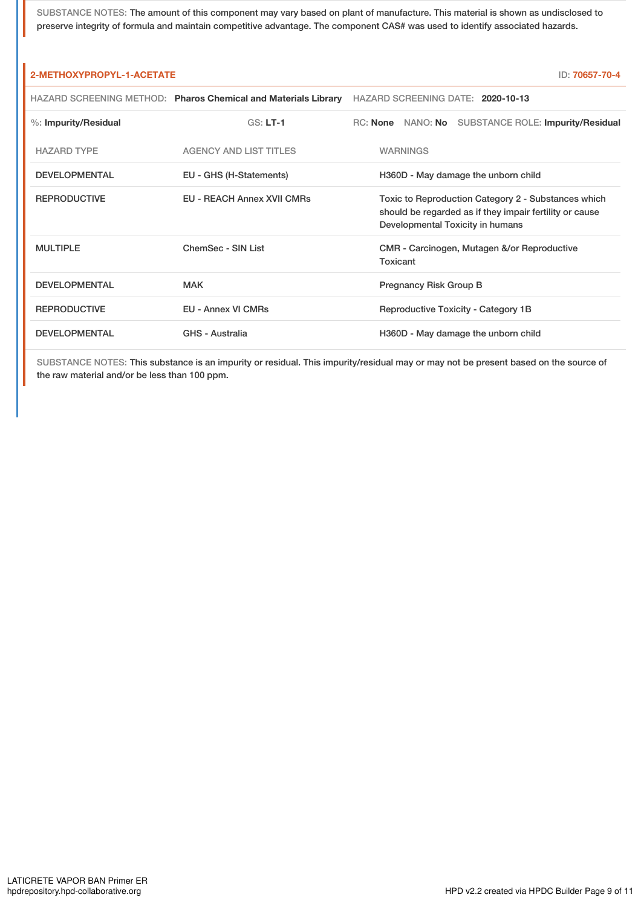SUBSTANCE NOTES: The amount of this component may vary based on plant of manufacture. This material is shown as undisclosed to preserve integrity of formula and maintain competitive advantage. The component CAS# was used to identify associated hazards.

| 2-METHOXYPROPYL-1-ACETATE<br>ID: 70657-70-4 |                                                                |                                                                                                                                                    |  |  |  |  |
|---------------------------------------------|----------------------------------------------------------------|----------------------------------------------------------------------------------------------------------------------------------------------------|--|--|--|--|
|                                             | HAZARD SCREENING METHOD: Pharos Chemical and Materials Library | HAZARD SCREENING DATE: 2020-10-13                                                                                                                  |  |  |  |  |
| %: Impurity/Residual                        | $GS: LT-1$                                                     | RC: None NANO: No SUBSTANCE ROLE: Impurity/Residual                                                                                                |  |  |  |  |
| <b>HAZARD TYPE</b>                          | <b>AGENCY AND LIST TITLES</b>                                  | <b>WARNINGS</b>                                                                                                                                    |  |  |  |  |
| <b>DEVELOPMENTAL</b>                        | EU - GHS (H-Statements)                                        | H360D - May damage the unborn child                                                                                                                |  |  |  |  |
| <b>REPRODUCTIVE</b>                         | EU - REACH Annex XVII CMRs                                     | Toxic to Reproduction Category 2 - Substances which<br>should be regarded as if they impair fertility or cause<br>Developmental Toxicity in humans |  |  |  |  |
| <b>MULTIPLE</b>                             | ChemSec - SIN List                                             | CMR - Carcinogen, Mutagen &/or Reproductive<br>Toxicant                                                                                            |  |  |  |  |
| <b>DEVELOPMENTAL</b>                        | <b>MAK</b>                                                     | Pregnancy Risk Group B                                                                                                                             |  |  |  |  |
| <b>REPRODUCTIVE</b>                         | <b>EU - Annex VI CMRs</b>                                      | Reproductive Toxicity - Category 1B                                                                                                                |  |  |  |  |
| <b>DEVELOPMENTAL</b>                        | <b>GHS - Australia</b>                                         | H360D - May damage the unborn child                                                                                                                |  |  |  |  |

SUBSTANCE NOTES: This substance is an impurity or residual. This impurity/residual may or may not be present based on the source of the raw material and/or be less than 100 ppm.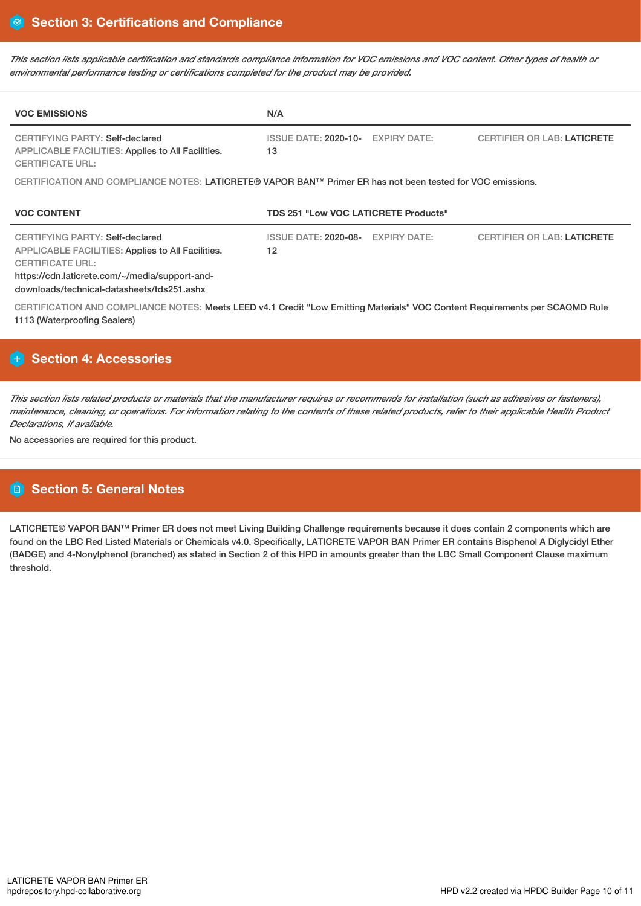This section lists applicable certification and standards compliance information for VOC emissions and VOC content. Other types of health or *environmental performance testing or certifications completed for the product may be provided.*

| <b>VOC EMISSIONS</b>                                                                                                                                                                                                   | N/A                                         |                     |                                    |  |  |  |
|------------------------------------------------------------------------------------------------------------------------------------------------------------------------------------------------------------------------|---------------------------------------------|---------------------|------------------------------------|--|--|--|
| CERTIFYING PARTY: Self-declared<br><b>APPLICABLE FACILITIES: Applies to All Facilities.</b><br><b>CERTIFICATE URL:</b>                                                                                                 | <b>ISSUE DATE: 2020-10-</b><br>13           | <b>EXPIRY DATE:</b> | <b>CERTIFIER OR LAB: LATICRETE</b> |  |  |  |
| CERTIFICATION AND COMPLIANCE NOTES: LATICRETE® VAPOR BAN™ Primer ER has not been tested for VOC emissions.                                                                                                             |                                             |                     |                                    |  |  |  |
| <b>VOC CONTENT</b>                                                                                                                                                                                                     | <b>TDS 251 "Low VOC LATICRETE Products"</b> |                     |                                    |  |  |  |
| CERTIFYING PARTY: Self-declared<br><b>APPLICABLE FACILITIES: Applies to All Facilities.</b><br><b>CERTIFICATE URL:</b><br>https://cdn.laticrete.com/~/media/support-and-<br>downloads/technical-datasheets/tds251.ashx | <b>ISSUE DATE: 2020-08-</b><br>12           | <b>EXPIRY DATE:</b> | <b>CERTIFIER OR LAB: LATICRETE</b> |  |  |  |
| CERTIFICATION AND COMPLIANCE NOTES: Meets LEED v4.1 Credit "Low Emitting Materials" VOC Content Requirements per SCAQMD Rule<br>1113 (Waterproofing Sealers)                                                           |                                             |                     |                                    |  |  |  |

# **Section 4: Accessories**

This section lists related products or materials that the manufacturer requires or recommends for installation (such as adhesives or fasteners), maintenance, cleaning, or operations. For information relating to the contents of these related products, refer to their applicable Health Product *Declarations, if available.*

No accessories are required for this product.

# **Section 5: General Notes**

LATICRETE® VAPOR BAN™ Primer ER does not meet Living Building Challenge requirements because it does contain 2 components which are found on the LBC Red Listed Materials or Chemicals v4.0. Specifically, LATICRETE VAPOR BAN Primer ER contains Bisphenol A Diglycidyl Ether (BADGE) and 4-Nonylphenol (branched) as stated in Section 2 of this HPD in amounts greater than the LBC Small Component Clause maximum threshold.